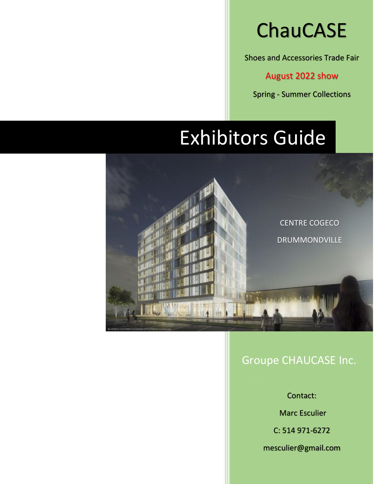# **ChauCASE**

Shoes and Accessories Trade Fair

August 2022 show

Spring - Summer Collections

# Exhibitors Guide



# Groupe CHAUCASE Inc.

Contact:

Marc Esculier

C: 514 971-6272

mesculier@gmail.com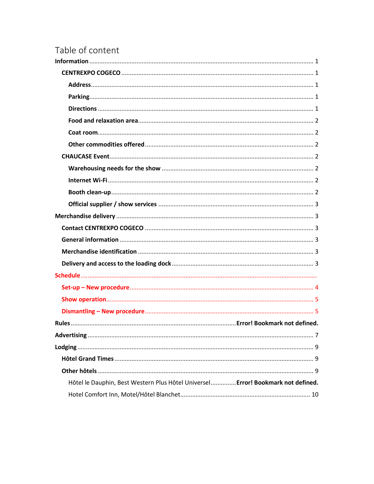# Table of content

| Hôtel le Dauphin, Best Western Plus Hôtel Universel Error! Bookmark not defined. |  |
|----------------------------------------------------------------------------------|--|
|                                                                                  |  |
|                                                                                  |  |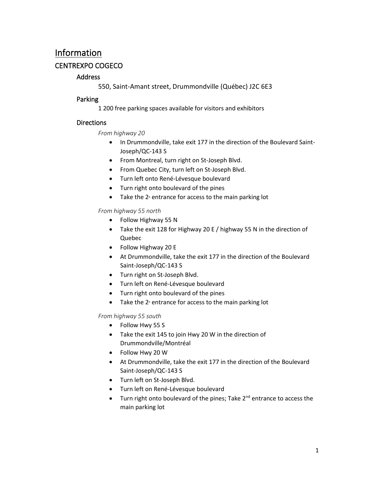# <span id="page-2-1"></span><span id="page-2-0"></span>Information CENTREXPO COGECO

# <span id="page-2-2"></span>Address

550, Saint-Amant street, Drummondville (Québec) J2C 6E3

# <span id="page-2-3"></span>Parking

1 200 free parking spaces available for visitors and exhibitors

# <span id="page-2-4"></span>**Directions**

### *From highway 20*

- In Drummondville, take exit 177 in the direction of the Boulevard Saint-Joseph/QC-143 S
- From Montreal, turn right on St-Joseph Blvd.
- From Quebec City, turn left on St-Joseph Blvd.
- Turn left onto René-Lévesque boulevard
- Turn right onto boulevard of the pines
- Take the  $2<sup>e</sup>$  entrance for access to the main parking lot

# *From highway 55 north*

- Follow Highway 55 N
- Take the exit 128 for Highway 20 E / highway 55 N in the direction of Quebec
- Follow Highway 20 E
- At Drummondville, take the exit 177 in the direction of the Boulevard Saint-Joseph/QC-143 S
- Turn right on St-Joseph Blvd.
- Turn left on René-Lévesque boulevard
- Turn right onto boulevard of the pines
- Take the  $2^e$  entrance for access to the main parking lot

# *From highway 55 south*

- Follow Hwy 55 S
- Take the exit 145 to join Hwy 20 W in the direction of Drummondville/Montréal
- Follow Hwy 20 W
- At Drummondville, take the exit 177 in the direction of the Boulevard Saint-Joseph/QC-143 S
- Turn left on St-Joseph Blvd.
- Turn left on René-Lévesque boulevard
- Turn right onto boulevard of the pines; Take  $2^{nd}$  entrance to access the main parking lot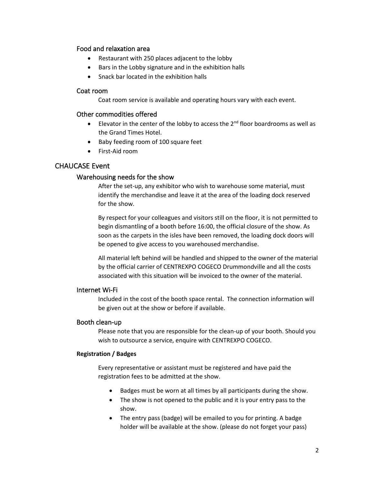## <span id="page-3-0"></span>Food and relaxation area

- Restaurant with 250 places adjacent to the lobby
- Bars in the Lobby signature and in the exhibition halls
- Snack bar located in the exhibition halls

#### <span id="page-3-1"></span>Coat room

Coat room service is available and operating hours vary with each event.

## <span id="page-3-2"></span>Other commodities offered

- Elevator in the center of the lobby to access the  $2<sup>nd</sup>$  floor boardrooms as well as the Grand Times Hotel.
- Baby feeding room of 100 square feet
- First-Aid room

# <span id="page-3-4"></span><span id="page-3-3"></span>CHAUCASE Event

### Warehousing needs for the show

After the set-up, any exhibitor who wish to warehouse some material, must identify the merchandise and leave it at the area of the loading dock reserved for the show.

By respect for your colleagues and visitors still on the floor, it is not permitted to begin dismantling of a booth before 16:00, the official closure of the show. As soon as the carpets in the isles have been removed, the loading dock doors will be opened to give access to you warehoused merchandise.

All material left behind will be handled and shipped to the owner of the material by the official carrier of CENTREXPO COGECO Drummondville and all the costs associated with this situation will be invoiced to the owner of the material.

#### <span id="page-3-5"></span>Internet Wi-Fi

Included in the cost of the booth space rental. The connection information will be given out at the show or before if available.

#### <span id="page-3-6"></span>Booth clean-up

Please note that you are responsible for the clean-up of your booth. Should you wish to outsource a service, enquire with CENTREXPO COGECO.

#### **Registration / Badges**

Every representative or assistant must be registered and have paid the registration fees to be admitted at the show.

- Badges must be worn at all times by all participants during the show.
- The show is not opened to the public and it is your entry pass to the show.
- The entry pass (badge) will be emailed to you for printing. A badge holder will be available at the show. (please do not forget your pass)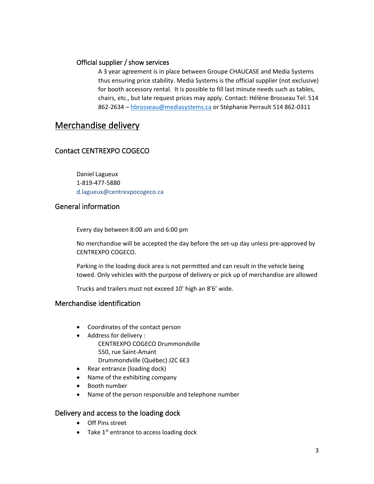## <span id="page-4-0"></span>Official supplier / show services

A 3 year agreement is in place between Groupe CHAUCASE and Media Systems thus ensuring price stability. Media Systems is the official supplier (not exclusive) for booth accessory rental. It is possible to fill last minute needs such as tables, chairs, etc., but late request prices may apply. Contact: Hélène Brosseau Tel: 514 862-2634 – [hbrosseau@mediasystems.ca](mailto:hbrosseau@mediasystems.ca) or Stéphanie Perrault 514 862-0311

# <span id="page-4-1"></span>Merchandise delivery

# <span id="page-4-2"></span>Contact CENTREXPO COGECO

Daniel Lagueux 1-819-477-5880 d.lagueux@centrexpocogeco.ca

# <span id="page-4-3"></span>General information

Every day between 8:00 am and 6:00 pm

No merchandise will be accepted the day before the set-up day unless pre-approved by CENTREXPO COGECO.

Parking in the loading dock area is not permitted and can result in the vehicle being towed. Only vehicles with the purpose of delivery or pick up of merchandise are allowed

Trucks and trailers must not exceed 10' high an 8'6' wide.

# <span id="page-4-4"></span>Merchandise identification

- Coordinates of the contact person
- Address for delivery : CENTREXPO COGECO Drummondville 550, rue Saint-Amant Drummondville (Québec) J2C 6E3
- Rear entrance (loading dock)
- Name of the exhibiting company
- Booth number
- Name of the person responsible and telephone number

# <span id="page-4-5"></span>Delivery and access to the loading dock

- Off Pins street
- Take 1<sup>st</sup> entrance to access loading dock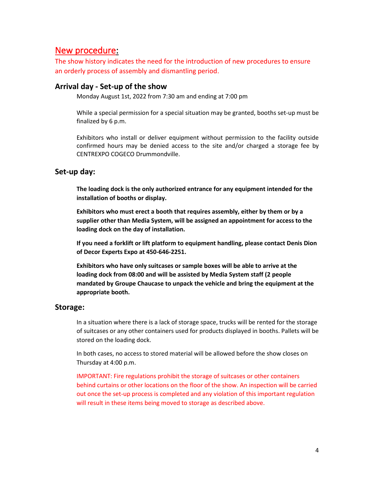# New procedure:

The show history indicates the need for the introduction of new procedures to ensure an orderly process of assembly and dismantling period.

# <span id="page-5-0"></span>**Arrival day - Set-up of the show**

Monday August 1st, 2022 from 7:30 am and ending at 7:00 pm

While a special permission for a special situation may be granted, booths set-up must be finalized by 6 p.m.

Exhibitors who install or deliver equipment without permission to the facility outside confirmed hours may be denied access to the site and/or charged a storage fee by CENTREXPO COGECO Drummondville.

# **Set-up day:**

**The loading dock is the only authorized entrance for any equipment intended for the installation of booths or display.**

**Exhibitors who must erect a booth that requires assembly, either by them or by a supplier other than Media System, will be assigned an appointment for access to the loading dock on the day of installation.**

**If you need a forklift or lift platform to equipment handling, please contact Denis Dion of Decor Experts Expo at 450-646-2251.**

**Exhibitors who have only suitcases or sample boxes will be able to arrive at the loading dock from 08:00 and will be assisted by Media System staff (2 people mandated by Groupe Chaucase to unpack the vehicle and bring the equipment at the appropriate booth.**

# **Storage:**

In a situation where there is a lack of storage space, trucks will be rented for the storage of suitcases or any other containers used for products displayed in booths. Pallets will be stored on the loading dock.

In both cases, no access to stored material will be allowed before the show closes on Thursday at 4:00 p.m.

IMPORTANT: Fire regulations prohibit the storage of suitcases or other containers behind curtains or other locations on the floor of the show. An inspection will be carried out once the set-up process is completed and any violation of this important regulation will result in these items being moved to storage as described above.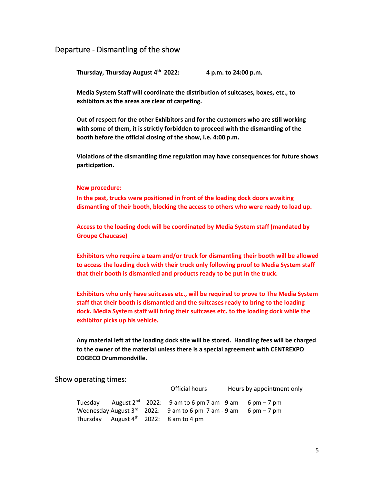# <span id="page-6-0"></span>Departure - Dismantling of the show

**Thursday, Thursday August 4th 2022: 4 p.m. to 24:00 p.m.**

**Media System Staff will coordinate the distribution of suitcases, boxes, etc., to exhibitors as the areas are clear of carpeting.**

**Out of respect for the other Exhibitors and for the customers who are still working with some of them, it is strictly forbidden to proceed with the dismantling of the booth before the official closing of the show, i.e. 4:00 p.m.**

**Violations of the dismantling time regulation may have consequences for future shows participation.**

#### **New procedure:**

**In the past, trucks were positioned in front of the loading dock doors awaiting dismantling of their booth, blocking the access to others who were ready to load up.**

**Access to the loading dock will be coordinated by Media System staff (mandated by Groupe Chaucase)**

**Exhibitors who require a team and/or truck for dismantling their booth will be allowed to access the loading dock with their truck only following proof to Media System staff that their booth is dismantled and products ready to be put in the truck.** 

**Exhibitors who only have suitcases etc., will be required to prove to The Media System staff that their booth is dismantled and the suitcases ready to bring to the loading dock. Media System staff will bring their suitcases etc. to the loading dock while the exhibitor picks up his vehicle.**

**Any material left at the loading dock site will be stored. Handling fees will be charged to the owner of the material unless there is a special agreement with CENTREXPO COGECO Drummondville.**

#### Show operating times:

|          |  |  | Official hours                                                    |  | Hours by appointment only |  |
|----------|--|--|-------------------------------------------------------------------|--|---------------------------|--|
| Tuesdav  |  |  | August $2^{nd}$ 2022: 9 am to 6 pm 7 am - 9 am 6 pm - 7 pm        |  |                           |  |
|          |  |  | Wednesday August $3rd$ 2022: 9 am to 6 pm 7 am - 9 am 6 pm - 7 pm |  |                           |  |
| Thursdav |  |  | August $4^{\text{th}}$ 2022: 8 am to 4 pm                         |  |                           |  |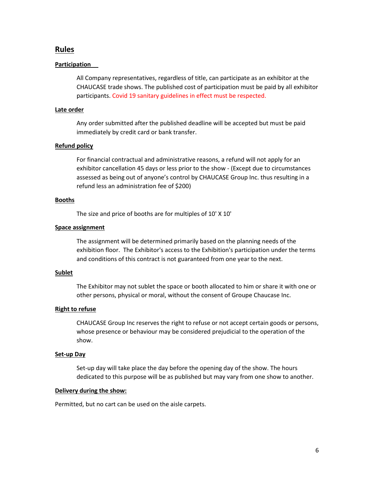# **Rules**

#### **Participation**

All Company representatives, regardless of title, can participate as an exhibitor at the CHAUCASE trade shows. The published cost of participation must be paid by all exhibitor participants. Covid 19 sanitary guidelines in effect must be respected.

#### **Late order**

Any order submitted after the published deadline will be accepted but must be paid immediately by credit card or bank transfer.

#### **Refund policy**

For financial contractual and administrative reasons, a refund will not apply for an exhibitor cancellation 45 days or less prior to the show - (Except due to circumstances assessed as being out of anyone's control by CHAUCASE Group Inc. thus resulting in a refund less an administration fee of \$200)

#### **Booths**

The size and price of booths are for multiples of 10' X 10'

#### **Space assignment**

The assignment will be determined primarily based on the planning needs of the exhibition floor. The Exhibitor's access to the Exhibition's participation under the terms and conditions of this contract is not guaranteed from one year to the next.

#### **Sublet**

The Exhibitor may not sublet the space or booth allocated to him or share it with one or other persons, physical or moral, without the consent of Groupe Chaucase Inc.

#### **Right to refuse**

CHAUCASE Group Inc reserves the right to refuse or not accept certain goods or persons, whose presence or behaviour may be considered prejudicial to the operation of the show.

#### **Set-up Day**

Set-up day will take place the day before the opening day of the show. The hours dedicated to this purpose will be as published but may vary from one show to another.

#### **Delivery during the show:**

Permitted, but no cart can be used on the aisle carpets.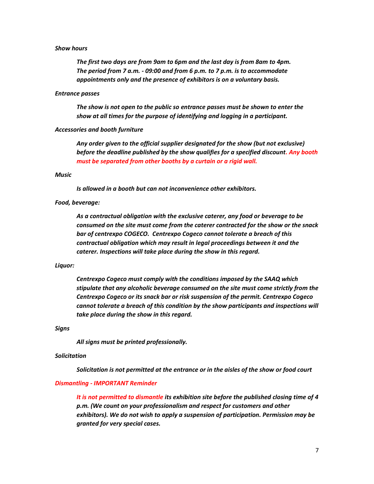#### *Show hours*

*The first two days are from 9am to 6pm and the last day is from 8am to 4pm. The period from 7 a.m. - 09:00 and from 6 p.m. to 7 p.m. is to accommodate appointments only and the presence of exhibitors is on a voluntary basis.*

#### *Entrance passes*

*The show is not open to the public so entrance passes must be shown to enter the show at all times for the purpose of identifying and logging in a participant.*

#### *Accessories and booth furniture*

*Any order given to the official supplier designated for the show (but not exclusive) before the deadline published by the show qualifies for a specified discount. Any booth must be separated from other booths by a curtain or a rigid wall.*

#### *Music*

*Is allowed in a booth but can not inconvenience other exhibitors.* 

#### *Food, beverage:*

*As a contractual obligation with the exclusive caterer, any food or beverage to be consumed on the site must come from the caterer contracted for the show or the snack bar of centrexpo COGECO. Centrexpo Cogeco cannot tolerate a breach of this contractual obligation which may result in legal proceedings between it and the caterer. Inspections will take place during the show in this regard.* 

#### *Liquor:*

*Centrexpo Cogeco must comply with the conditions imposed by the SAAQ which stipulate that any alcoholic beverage consumed on the site must come strictly from the Centrexpo Cogeco or its snack bar or risk suspension of the permit. Centrexpo Cogeco cannot tolerate a breach of this condition by the show participants and inspections will take place during the show in this regard.*

#### *Signs*

*All signs must be printed professionally.* 

#### *Solicitation*

*Solicitation is not permitted at the entrance or in the aisles of the show or food court*

#### *Dismantling - IMPORTANT Reminder*

*It is not permitted to dismantle its exhibition site before the published closing time of 4 p.m. (We count on your professionalism and respect for customers and other exhibitors). We do not wish to apply a suspension of participation. Permission may be granted for very special cases.*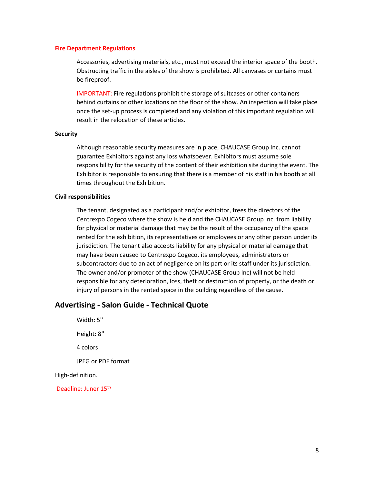#### **Fire Department Regulations**

Accessories, advertising materials, etc., must not exceed the interior space of the booth. Obstructing traffic in the aisles of the show is prohibited. All canvases or curtains must be fireproof.

IMPORTANT: Fire regulations prohibit the storage of suitcases or other containers behind curtains or other locations on the floor of the show. An inspection will take place once the set-up process is completed and any violation of this important regulation will result in the relocation of these articles.

#### **Security**

Although reasonable security measures are in place, CHAUCASE Group Inc. cannot guarantee Exhibitors against any loss whatsoever. Exhibitors must assume sole responsibility for the security of the content of their exhibition site during the event. The Exhibitor is responsible to ensuring that there is a member of his staff in his booth at all times throughout the Exhibition.

#### **Civil responsibilities**

The tenant, designated as a participant and/or exhibitor, frees the directors of the Centrexpo Cogeco where the show is held and the CHAUCASE Group Inc. from liability for physical or material damage that may be the result of the occupancy of the space rented for the exhibition, its representatives or employees or any other person under its jurisdiction. The tenant also accepts liability for any physical or material damage that may have been caused to Centrexpo Cogeco, its employees, administrators or subcontractors due to an act of negligence on its part or its staff under its jurisdiction. The owner and/or promoter of the show (CHAUCASE Group Inc) will not be held responsible for any deterioration, loss, theft or destruction of property, or the death or injury of persons in the rented space in the building regardless of the cause.

# **Advertising - Salon Guide - Technical Quote**

Width: 5'' Height: 8'' 4 colors JPEG or PDF format

High-definition.

Deadline: Juner 15<sup>th</sup>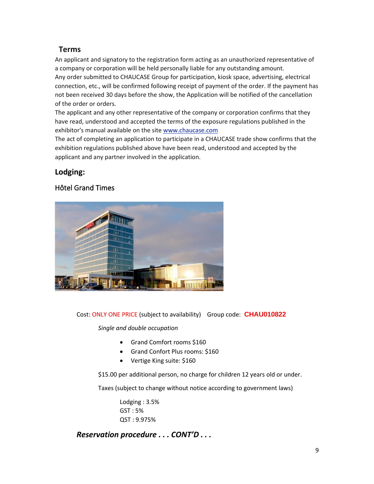# **Terms**

An applicant and signatory to the registration form acting as an unauthorized representative of a company or corporation will be held personally liable for any outstanding amount. Any order submitted to CHAUCASE Group for participation, kiosk space, advertising, electrical connection, etc., will be confirmed following receipt of payment of the order. If the payment has not been received 30 days before the show, the Application will be notified of the cancellation of the order or orders.

The applicant and any other representative of the company or corporation confirms that they have read, understood and accepted the terms of the exposure regulations published in the exhibitor's manual available on the site [www.chaucase.com](https://ssl.microsofttranslator.com/bv.aspx?ref=TAns&from=&to=en&a=www.chaucase.com)

The act of completing an application to participate in a CHAUCASE trade show confirms that the exhibition regulations published above have been read, understood and accepted by the applicant and any partner involved in the application.

# **Lodging:**

# <span id="page-10-1"></span><span id="page-10-0"></span>Hôtel Grand Times



# <span id="page-10-2"></span>Cost: ONLY ONE PRICE (subject to availability) Group code: **CHAU010822**

*Single and double occupation*

- Grand Comfort rooms \$160
- Grand Confort Plus rooms: \$160
- Vertige King suite: \$160

\$15.00 per additional person, no charge for children 12 years old or under.

Taxes (subject to change without notice according to government laws)

Lodging : 3.5% GST : 5% QST : 9.975%

*Reservation procedure . . . CONT'D . . .*